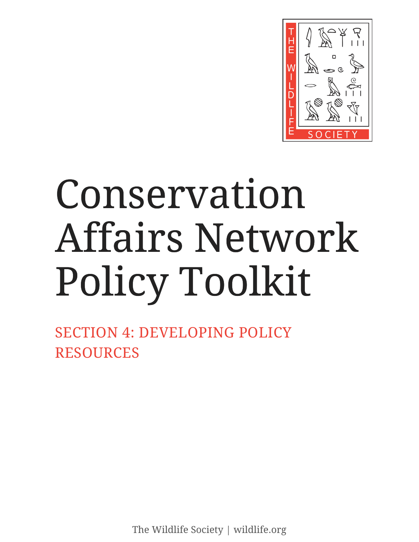

# Conservation Affairs Network Policy Toolkit

SECTION 4: DEVELOPING POLICY RESOURCES

The Wildlife Society | wildlife.org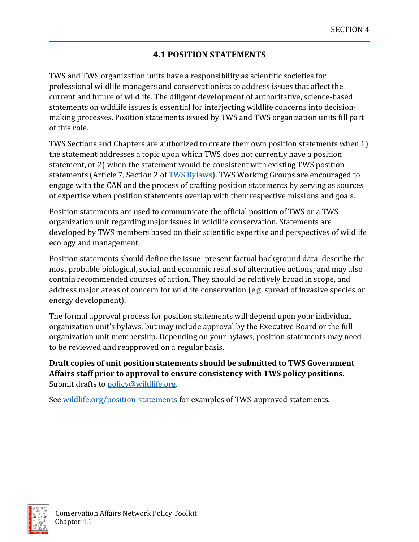# **4.1 POSITION STATEMENTS**

TWS and TWS organization units have a responsibility as scientific societies for professional wildlife managers and conservationists to address issues that affect the current and future of wildlife. The diligent development of authoritative, science-based statements on wildlife issues is essential for interjecting wildlife concerns into decisionmaking processes. Position statements issued by TWS and TWS organization units fill part of this role.

TWS Sections and Chapters are authorized to create their own position statements when 1) the statement addresses a topic upon which TWS does not currently have a position statement, or 2) when the statement would be consistent with existing TWS position statements (Article 7, Section 2 o[f TWS Bylaws\)](https://wildlife.org/wp-content/uploads/2021/07/20210714_TWS-Bylaws-FINAL-1.pdf). TWS Working Groups are encouraged to engage with the CAN and the process of crafting position statements by serving as sources of expertise when position statements overlap with their respective missions and goals.

Position statements are used to communicate the official position of TWS or a TWS organization unit regarding major issues in wildlife conservation. Statements are developed by TWS members based on their scientific expertise and perspectives of wildlife ecology and management.

Position statements should define the issue; present factual background data; describe the most probable biological, social, and economic results of alternative actions; and may also contain recommended courses of action. They should be relatively broad in scope, and address major areas of concern for wildlife conservation (e.g. spread of invasive species or energy development).

The formal approval process for position statements will depend upon your individual organization unit's bylaws, but may include approval by the Executive Board or the full organization unit membership. Depending on your bylaws, position statements may need to be reviewed and reapproved on a regular basis.

**Draft copies of unit position statements should be submitted to TWS Government Affairs staff prior to approval to ensure consistency with TWS policy positions.**  Submit drafts to [policy@wildlife.org.](mailto:policy@wildlife.org)

See [wildlife.org/position-statements](http://wildlife.org/position-statements) for examples of TWS-approved statements.

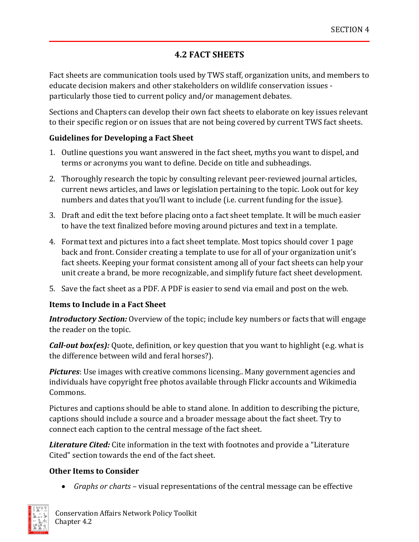## **4.2 FACT SHEETS**

Fact sheets are communication tools used by TWS staff, organization units, and members to educate decision makers and other stakeholders on wildlife conservation issues particularly those tied to current policy and/or management debates.

Sections and Chapters can develop their own fact sheets to elaborate on key issues relevant to their specific region or on issues that are not being covered by current TWS fact sheets.

#### **Guidelines for Developing a Fact Sheet**

- 1. Outline questions you want answered in the fact sheet, myths you want to dispel, and terms or acronyms you want to define. Decide on title and subheadings.
- 2. Thoroughly research the topic by consulting relevant peer-reviewed journal articles, current news articles, and laws or legislation pertaining to the topic. Look out for key numbers and dates that you'll want to include (i.e. current funding for the issue).
- 3. Draft and edit the text before placing onto a fact sheet template. It will be much easier to have the text finalized before moving around pictures and text in a template.
- 4. Format text and pictures into a fact sheet template. Most topics should cover 1 page back and front. Consider creating a template to use for all of your organization unit's fact sheets. Keeping your format consistent among all of your fact sheets can help your unit create a brand, be more recognizable, and simplify future fact sheet development.
- 5. Save the fact sheet as a PDF. A PDF is easier to send via email and post on the web.

## **Items to Include in a Fact Sheet**

*Introductory Section:* Overview of the topic; include key numbers or facts that will engage the reader on the topic.

*Call-out box(es):* Quote, definition, or key question that you want to highlight (e.g. what is the difference between wild and feral horses?).

*Pictures*: Use images with creative commons licensing.. Many government agencies and individuals have copyright free photos available through Flickr accounts and Wikimedia Commons.

Pictures and captions should be able to stand alone. In addition to describing the picture, captions should include a source and a broader message about the fact sheet. Try to connect each caption to the central message of the fact sheet.

*Literature Cited:* Cite information in the text with footnotes and provide a "Literature Cited" section towards the end of the fact sheet.

## **Other Items to Consider**

• *Graphs or charts* – visual representations of the central message can be effective

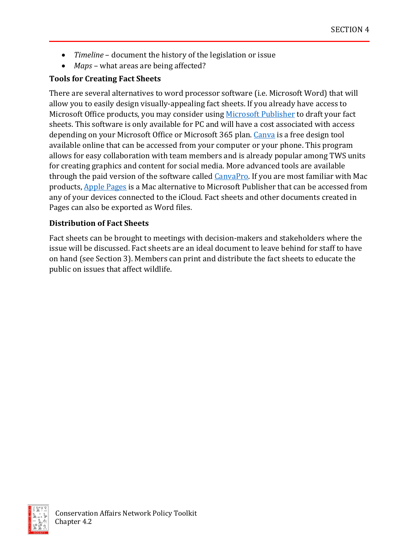- *Timeline* document the history of the legislation or issue
- *Maps* what areas are being affected?

#### **Tools for Creating Fact Sheets**

There are several alternatives to word processor software (i.e. Microsoft Word) that will allow you to easily design visually-appealing fact sheets. If you already have access to Microsoft Office products, you may consider using [Microsoft Publisher](https://www.microsoft.com/en-us/microsoft-365/publisher) to draft your fact sheets. This software is only available for PC and will have a cost associated with access depending on your Microsoft Office or Microsoft 365 plan. [Canva](https://www.canva.com/) is a free design tool available online that can be accessed from your computer or your phone. This program allows for easy collaboration with team members and is already popular among TWS units for creating graphics and content for social media. More advanced tools are available through the paid version of the software calle[d CanvaPro.](https://www.canva.com/pro/) If you are most familiar with Mac products, [Apple Pages](https://www.apple.com/pages/) is a Mac alternative to Microsoft Publisher that can be accessed from any of your devices connected to the iCloud. Fact sheets and other documents created in Pages can also be exported as Word files.

#### **Distribution of Fact Sheets**

Fact sheets can be brought to meetings with decision-makers and stakeholders where the issue will be discussed. Fact sheets are an ideal document to leave behind for staff to have on hand (see Section 3). Members can print and distribute the fact sheets to educate the public on issues that affect wildlife.

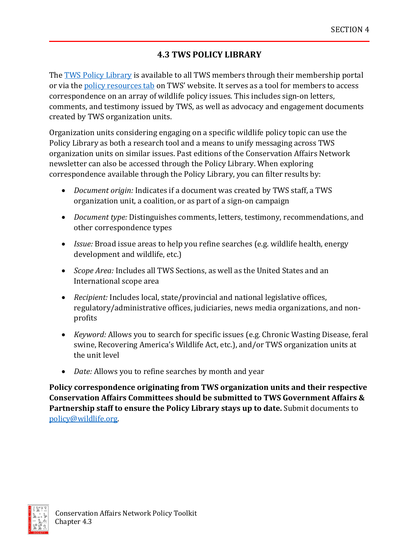# **4.3 TWS POLICY LIBRARY**

The [TWS Policy Library](https://wildlife.secure.force.com/portal_policylibraryindex_public) is available to all TWS members through their membership portal or via the **policy resources tab** on TWS' website. It serves as a tool for members to access correspondence on an array of wildlife policy issues. This includes sign-on letters, comments, and testimony issued by TWS, as well as advocacy and engagement documents created by TWS organization units.

Organization units considering engaging on a specific wildlife policy topic can use the Policy Library as both a research tool and a means to unify messaging across TWS organization units on similar issues. Past editions of the Conservation Affairs Network newsletter can also be accessed through the Policy Library. When exploring correspondence available through the Policy Library, you can filter results by:

- *Document origin:* Indicates if a document was created by TWS staff, a TWS organization unit, a coalition, or as part of a sign-on campaign
- *Document type:* Distinguishes comments, letters, testimony, recommendations, and other correspondence types
- *Issue:* Broad issue areas to help you refine searches (e.g. wildlife health, energy development and wildlife, etc.)
- *Scope Area:* Includes all TWS Sections, as well as the United States and an International scope area
- *Recipient:* Includes local, state/provincial and national legislative offices, regulatory/administrative offices, judiciaries, news media organizations, and nonprofits
- *Keyword:* Allows you to search for specific issues (e.g. Chronic Wasting Disease, feral swine, Recovering America's Wildlife Act, etc.), and/or TWS organization units at the unit level
- *Date:* Allows you to refine searches by month and year

**Policy correspondence originating from TWS organization units and their respective Conservation Affairs Committees should be submitted to TWS Government Affairs & Partnership staff to ensure the Policy Library stays up to date.** Submit documents to [policy@wildlife.org.](mailto:policy@wildlife.org)